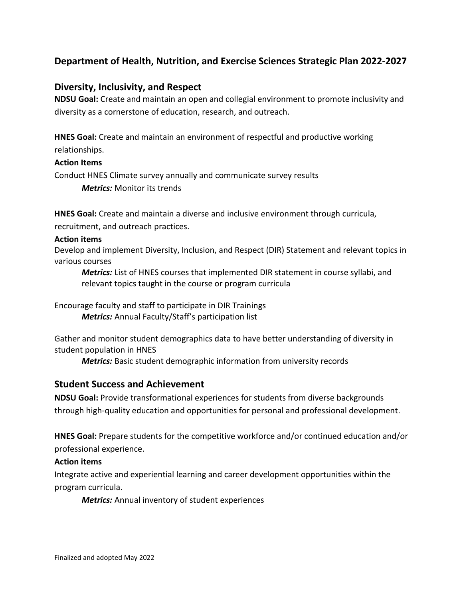# **Department of Health, Nutrition, and Exercise Sciences Strategic Plan 2022-2027**

## **Diversity, Inclusivity, and Respect**

**NDSU Goal:** Create and maintain an open and collegial environment to promote inclusivity and diversity as a cornerstone of education, research, and outreach.

**HNES Goal:** Create and maintain an environment of respectful and productive working relationships.

#### **Action Items**

Conduct HNES Climate survey annually and communicate survey results

*Metrics:* Monitor its trends

**HNES Goal:** Create and maintain a diverse and inclusive environment through curricula, recruitment, and outreach practices.

#### **Action items**

Develop and implement Diversity, Inclusion, and Respect (DIR) Statement and relevant topics in various courses

*Metrics:* List of HNES courses that implemented DIR statement in course syllabi, and relevant topics taught in the course or program curricula

Encourage faculty and staff to participate in DIR Trainings *Metrics:* Annual Faculty/Staff's participation list

Gather and monitor student demographics data to have better understanding of diversity in student population in HNES

*Metrics:* Basic student demographic information from university records

## **Student Success and Achievement**

**NDSU Goal:** Provide transformational experiences for students from diverse backgrounds through high-quality education and opportunities for personal and professional development.

**HNES Goal:** Prepare students for the competitive workforce and/or continued education and/or professional experience.

#### **Action items**

Integrate active and experiential learning and career development opportunities within the program curricula.

*Metrics:* Annual inventory of student experiences